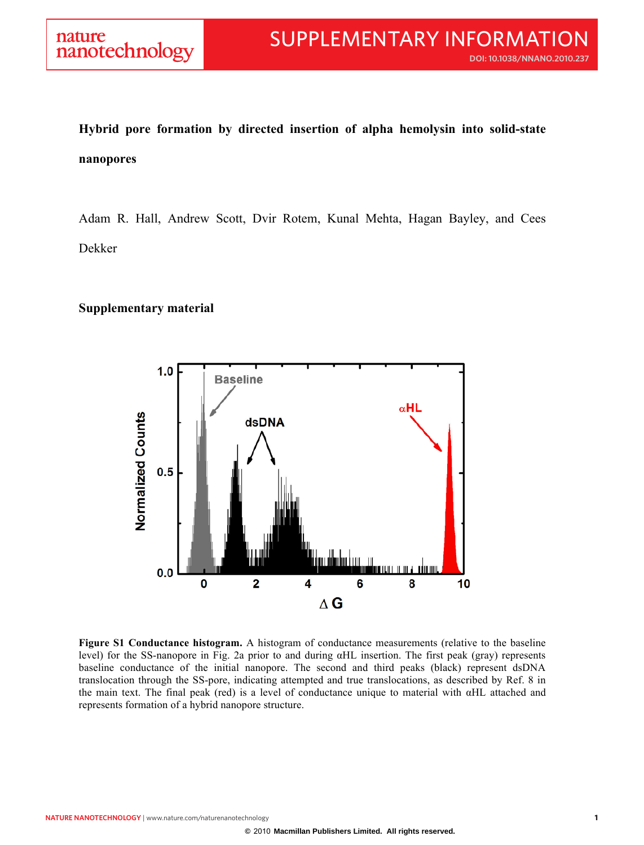## **Hybrid pore formation by directed insertion of alpha hemolysin into solid-state nanopores**

Adam R. Hall, Andrew Scott, Dvir Rotem, Kunal Mehta, Hagan Bayley, and Cees Dekker

## **Supplementary material**



**Figure S1 Conductance histogram.** A histogram of conductance measurements (relative to the baseline level) for the SS-nanopore in Fig. 2a prior to and during αHL insertion. The first peak (gray) represents baseline conductance of the initial nanopore. The second and third peaks (black) represent dsDNA translocation through the SS-pore, indicating attempted and true translocations, as described by Ref. 8 in the main text. The final peak (red) is a level of conductance unique to material with αHL attached and represents formation of a hybrid nanopore structure.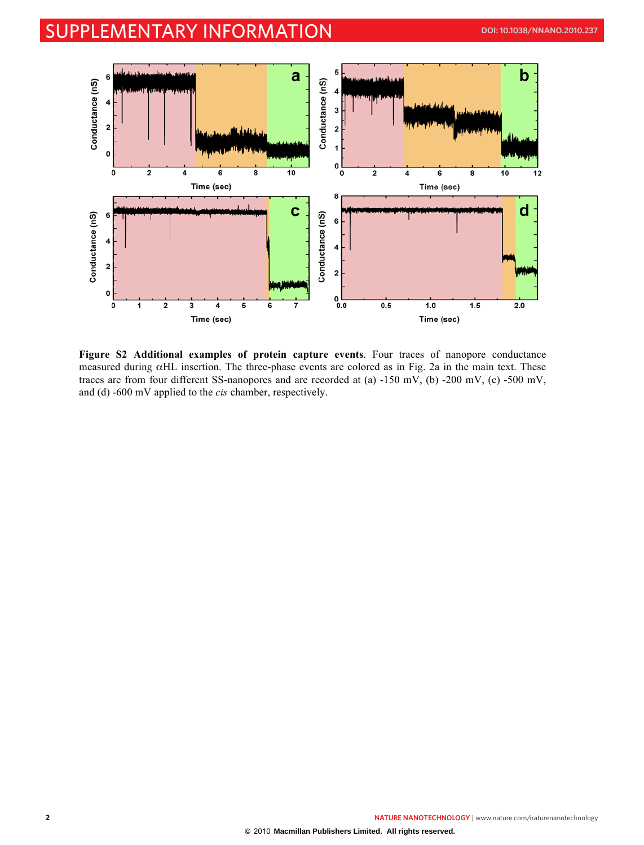## SUPPLEMENTARY INFORMATION **DOI: 10.1038/NNANO.2010.237**



**Figure S2 Additional examples of protein capture events**. Four traces of nanopore conductance measured during αHL insertion. The three-phase events are colored as in Fig. 2a in the main text. These traces are from four different SS-nanopores and are recorded at (a) -150 mV, (b) -200 mV, (c) -500 mV, and (d) -600 mV applied to the *cis* chamber, respectively.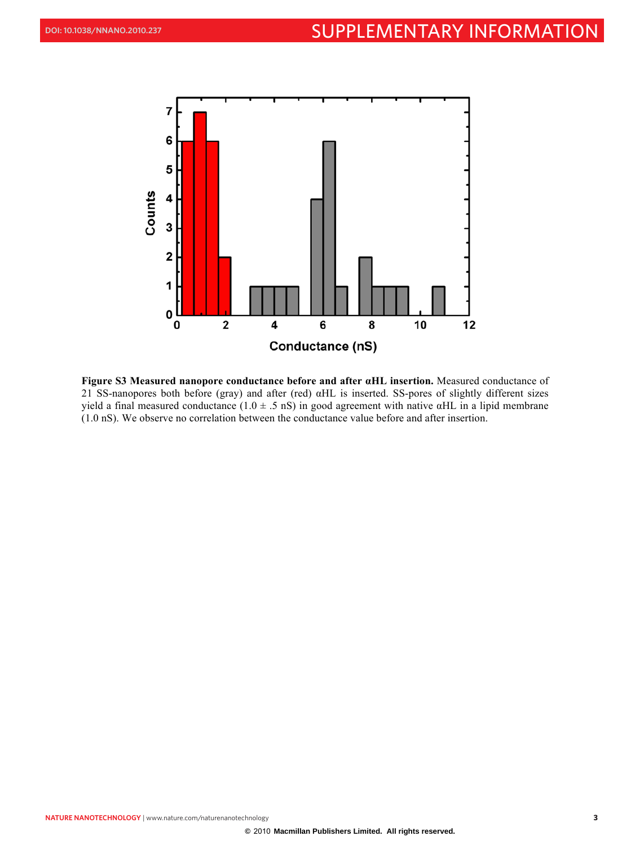

**Figure S3 Measured nanopore conductance before and after αHL insertion.** Measured conductance of 21 SS-nanopores both before (gray) and after (red) αHL is inserted. SS-pores of slightly different sizes yield a final measured conductance  $(1.0 \pm .5 \text{ nS})$  in good agreement with native  $\alpha$ HL in a lipid membrane (1.0 nS). We observe no correlation between the conductance value before and after insertion.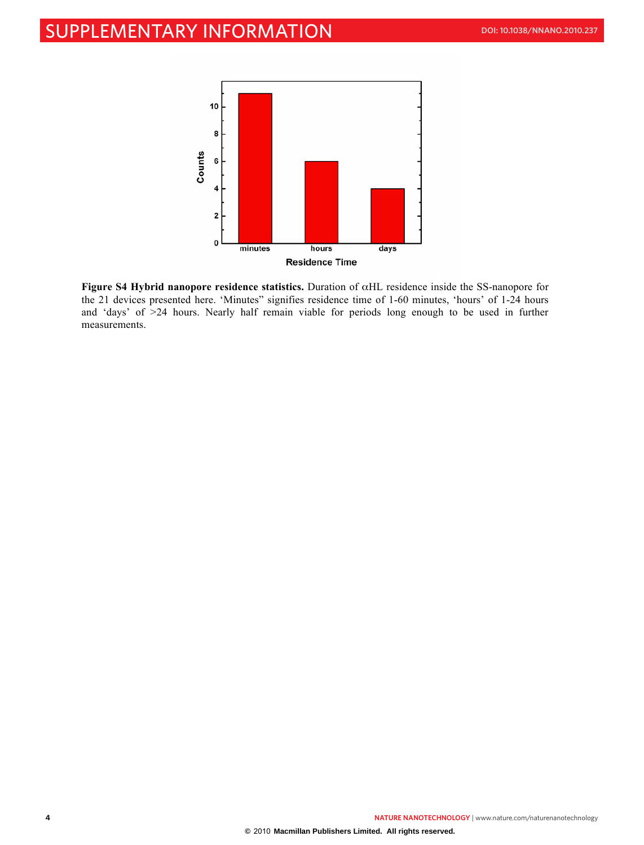

**Figure S4 Hybrid nanopore residence statistics.** Duration of αHL residence inside the SS-nanopore for the 21 devices presented here. 'Minutes" signifies residence time of 1-60 minutes, 'hours' of 1-24 hours and 'days' of >24 hours. Nearly half remain viable for periods long enough to be used in further measurements.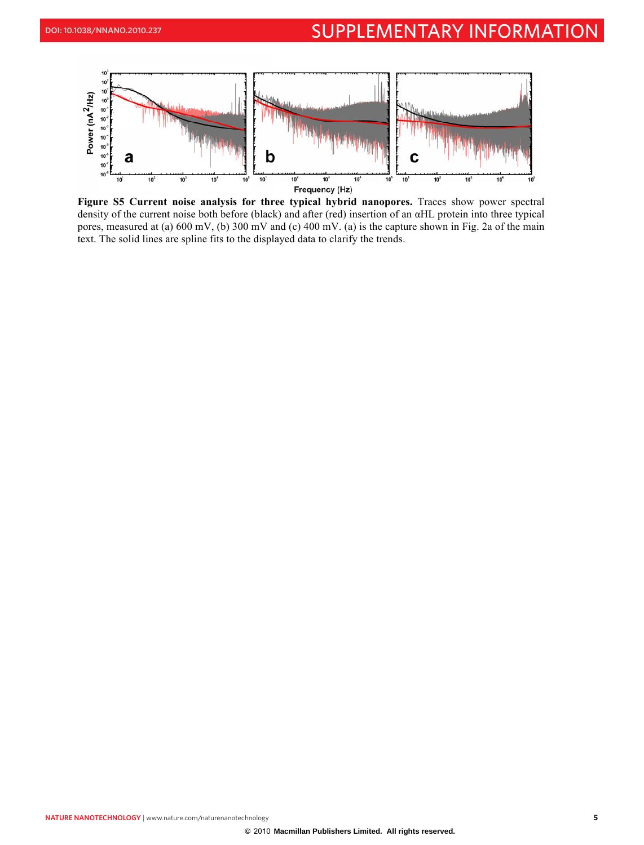

**Figure S5 Current noise analysis for three typical hybrid nanopores.** Traces show power spectral density of the current noise both before (black) and after (red) insertion of an αHL protein into three typical pores, measured at (a) 600 mV, (b) 300 mV and (c) 400 mV. (a) is the capture shown in Fig. 2a of the main text. The solid lines are spline fits to the displayed data to clarify the trends.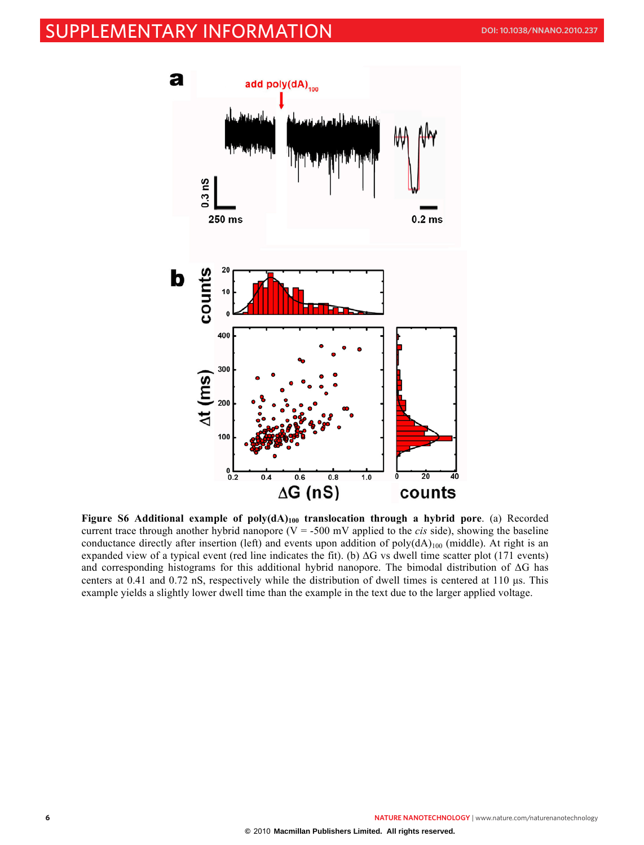## SUPPLEMENTARY INFORMATION **DOI: 10.1038/NNANO.2010.237**



**Figure S6 Additional example of poly(dA)100 translocation through a hybrid pore**. (a) Recorded current trace through another hybrid nanopore ( $V = -500$  mV applied to the *cis* side), showing the baseline conductance directly after insertion (left) and events upon addition of poly( $dA$ )<sub>100</sub> (middle). At right is an expanded view of a typical event (red line indicates the fit). (b)  $\Delta G$  vs dwell time scatter plot (171 events) and corresponding histograms for this additional hybrid nanopore. The bimodal distribution of ΔG has centers at 0.41 and 0.72 nS, respectively while the distribution of dwell times is centered at 110 µs. This example yields a slightly lower dwell time than the example in the text due to the larger applied voltage.